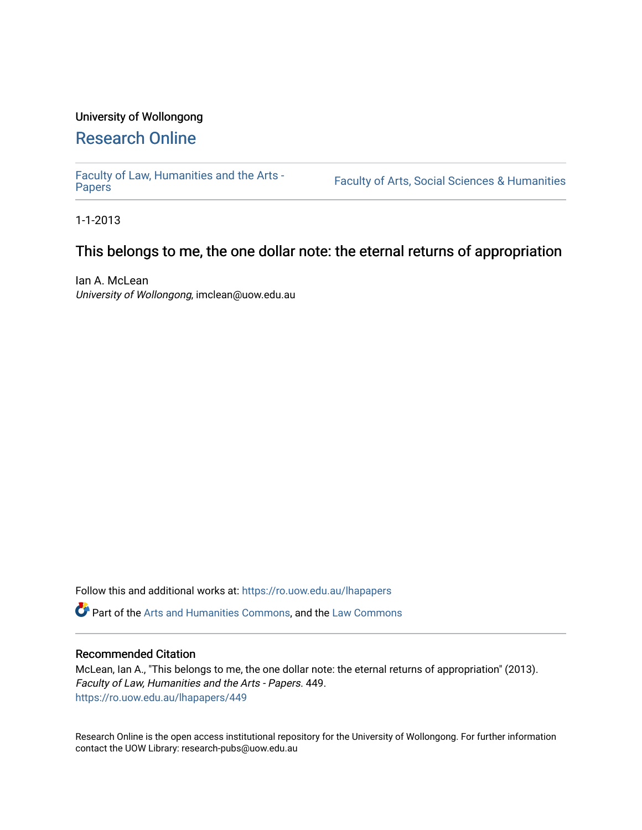# University of Wollongong [Research Online](https://ro.uow.edu.au/)

[Faculty of Law, Humanities and the Arts -](https://ro.uow.edu.au/lhapapers)

Faculty of Arts, Social Sciences & Humanities

1-1-2013

## This belongs to me, the one dollar note: the eternal returns of appropriation

Ian A. McLean University of Wollongong, imclean@uow.edu.au

Follow this and additional works at: [https://ro.uow.edu.au/lhapapers](https://ro.uow.edu.au/lhapapers?utm_source=ro.uow.edu.au%2Flhapapers%2F449&utm_medium=PDF&utm_campaign=PDFCoverPages) 

Part of the [Arts and Humanities Commons,](http://network.bepress.com/hgg/discipline/438?utm_source=ro.uow.edu.au%2Flhapapers%2F449&utm_medium=PDF&utm_campaign=PDFCoverPages) and the [Law Commons](http://network.bepress.com/hgg/discipline/578?utm_source=ro.uow.edu.au%2Flhapapers%2F449&utm_medium=PDF&utm_campaign=PDFCoverPages) 

#### Recommended Citation

McLean, Ian A., "This belongs to me, the one dollar note: the eternal returns of appropriation" (2013). Faculty of Law, Humanities and the Arts - Papers. 449. [https://ro.uow.edu.au/lhapapers/449](https://ro.uow.edu.au/lhapapers/449?utm_source=ro.uow.edu.au%2Flhapapers%2F449&utm_medium=PDF&utm_campaign=PDFCoverPages) 

Research Online is the open access institutional repository for the University of Wollongong. For further information contact the UOW Library: research-pubs@uow.edu.au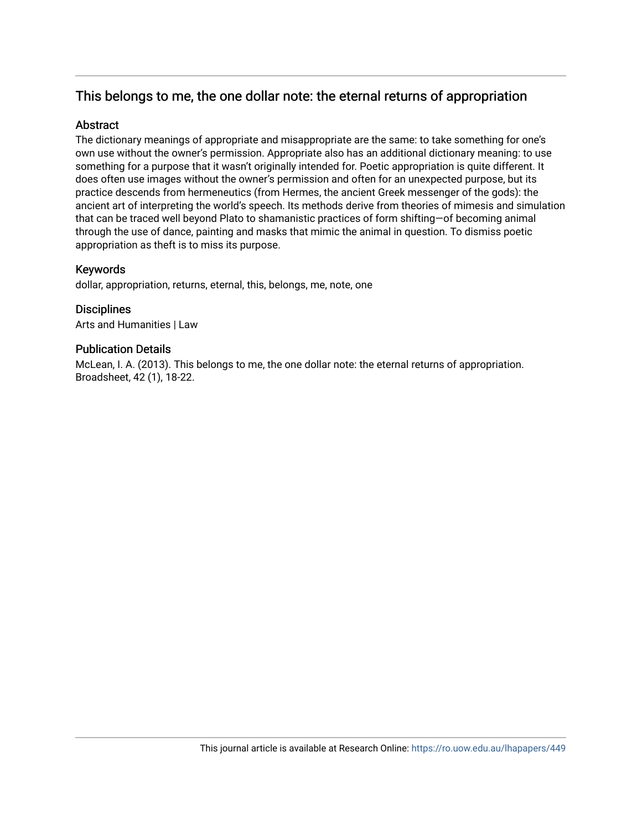# This belongs to me, the one dollar note: the eternal returns of appropriation

### **Abstract**

The dictionary meanings of appropriate and misappropriate are the same: to take something for one's own use without the owner's permission. Appropriate also has an additional dictionary meaning: to use something for a purpose that it wasn't originally intended for. Poetic appropriation is quite different. It does often use images without the owner's permission and often for an unexpected purpose, but its practice descends from hermeneutics (from Hermes, the ancient Greek messenger of the gods): the ancient art of interpreting the world's speech. Its methods derive from theories of mimesis and simulation that can be traced well beyond Plato to shamanistic practices of form shifting—of becoming animal through the use of dance, painting and masks that mimic the animal in question. To dismiss poetic appropriation as theft is to miss its purpose.

## Keywords

dollar, appropriation, returns, eternal, this, belongs, me, note, one

**Disciplines** Arts and Humanities | Law

## Publication Details

McLean, I. A. (2013). This belongs to me, the one dollar note: the eternal returns of appropriation. Broadsheet, 42 (1), 18-22.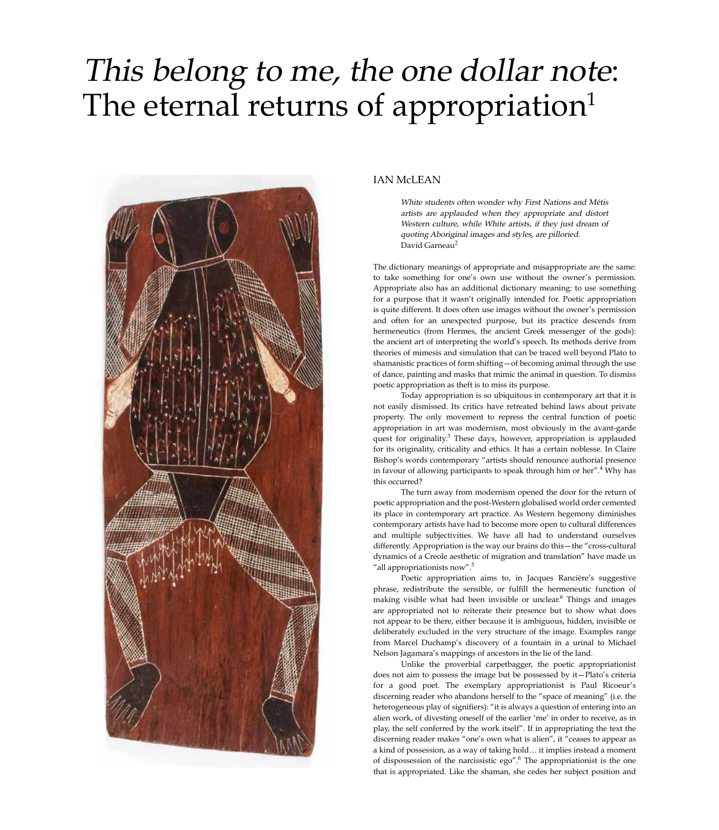# This belong to me, the one dollar note: The eternal returns of appropriation<sup>1</sup>



#### IAN McLEAN

White students often wonder why First Nations and Métis artists are applauded when they appropriate and distort Western culture, while White artists, if they just dream of quoting Aboriginal images and styles, are pilloried. David Garneau<sup>2</sup>

The dictionary meanings of appropriate and misappropriate are the same: to take something for one's own use without the owner's permission. Appropriate also has an additional dictionary meaning: to use something for a purpose that it wasn't originally intended for. Poetic appropriation is quite different. It does often use images without the owner's permission and often for an unexpected purpose, but its practice descends from hermeneutics (from Hermes, the ancient Greek messenger of the gods): the ancient art of interpreting the world's speech. Its methods derive from theories of mimesis and simulation that can be traced well beyond Plato to shamanistic practices of form shifting—of becoming animal through the use of dance, painting and masks that mimic the animal in question. To dismiss poetic appropriation as theft is to miss its purpose.

Today appropriation is so ubiquitous in contemporary art that it is not easily dismissed. Its critics have retreated behind laws about private property. The only movement to repress the central function of poetic appropriation in art was modernism, most obviously in the avant-garde quest for originality.<sup>3</sup> These days, however, appropriation is applauded for its originality, criticality and ethics. It has a certain noblesse. In Claire Bishop's words contemporary "artists should renounce authorial presence in favour of allowing participants to speak through him or her".<sup>4</sup> Why has this occurred?

The turn away from modernism opened the door for the return of poetic appropriation and the post-Western globalised world order cemented its place in contemporary art practice. As Western hegemony diminishes contemporary artists have had to become more open to cultural differences and multiple subjectivities. We have all had to understand ourselves differently. Appropriation is the way our brains do this—the "cross-cultural dynamics of a Creole aesthetic of migration and translation" have made us "all appropriationists now".<sup>5</sup>

Poetic appropriation aims to, in Jacques Rancière's suggestive phrase, redistribute the sensible, or fulfill the hermeneutic function of making visible what had been invisible or unclear.<sup>6</sup> Things and images are appropriated not to reiterate their presence but to show what does not appear to be there, either because it is ambiguous, hidden, invisible or deliberately excluded in the very structure of the image. Examples range from Marcel Duchamp's discovery of a fountain in a urinal to Michael Nelson Jagamara's mappings of ancestors in the lie of the land.

Unlike the proverbial carpetbagger, the poetic appropriationist does not aim to possess the image but be possessed by it—Plato's criteria for a good poet. The exemplary appropriationist is Paul Ricoeur's discerning reader who abandons herself to the "space of meaning" (i.e. the heterogeneous play of signifiers): "it is always a question of entering into an alien work, of divesting oneself of the earlier 'me' in order to receive, as in play, the self conferred by the work itself". If in appropriating the text the discerning reader makes "one's own what is alien", it "ceases to appear as a kind of possession, as a way of taking hold… it implies instead a moment of dispossession of the narcissistic ego".<sup>6</sup> The appropriationist is the one that is appropriated. Like the shaman, she cedes her subject position and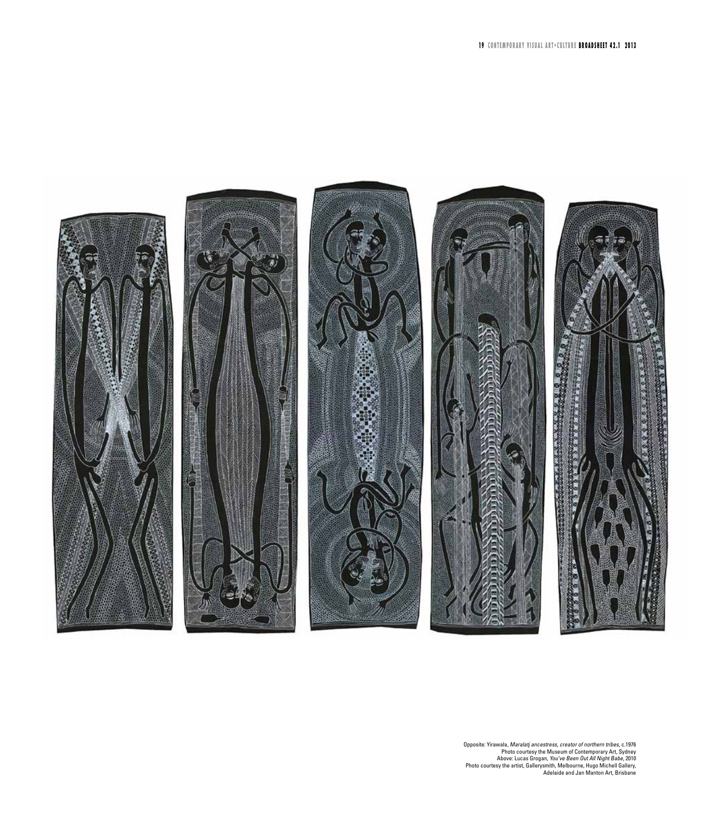

Opposite: Yirawala, Maralatj ancestress, creator of northern tribes, c.1976<br>Photo courtesy the Museum of Contemporary Art, Sydney<br>Above: Lucas Grogan, *You've Been Out All Night Babe,* 2010<br>Photo courtesy the artist, Galle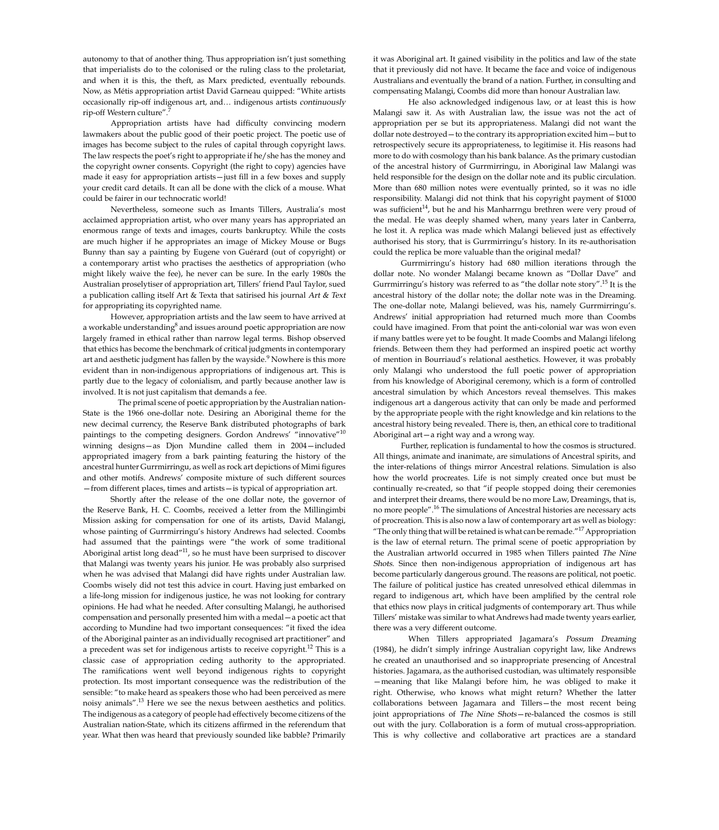autonomy to that of another thing. Thus appropriation isn't just something that imperialists do to the colonised or the ruling class to the proletariat, and when it is this, the theft, as Marx predicted, eventually rebounds. Now, as Métis appropriation artist David Garneau quipped: "White artists occasionally rip-off indigenous art, and… indigenous artists continuously rip-off Western culture".

Appropriation artists have had difficulty convincing modern lawmakers about the public good of their poetic project. The poetic use of images has become subject to the rules of capital through copyright laws. The law respects the poet's right to appropriate if he/she has the money and the copyright owner consents. Copyright (the right to copy) agencies have made it easy for appropriation artists—just fill in a few boxes and supply your credit card details. It can all be done with the click of a mouse. What could be fairer in our technocratic world!

Nevertheless, someone such as Imants Tillers, Australia's most acclaimed appropriation artist, who over many years has appropriated an enormous range of texts and images, courts bankruptcy. While the costs are much higher if he appropriates an image of Mickey Mouse or Bugs Bunny than say a painting by Eugene von Guérard (out of copyright) or a contemporary artist who practises the aesthetics of appropriation (who might likely waive the fee), he never can be sure. In the early 1980s the Australian proselytiser of appropriation art, Tillers' friend Paul Taylor, sued a publication calling itself Art & Texta that satirised his journal Art & Text for appropriating its copyrighted name.

However, appropriation artists and the law seem to have arrived at a workable understanding $^8$  and issues around poetic appropriation are now largely framed in ethical rather than narrow legal terms. Bishop observed that ethics has become the benchmark of critical judgments in contemporary art and aesthetic judgment has fallen by the wayside.<sup>9</sup> Nowhere is this more evident than in non-indigenous appropriations of indigenous art. This is partly due to the legacy of colonialism, and partly because another law is involved. It is not just capitalism that demands a fee.

The primal scene of poetic appropriation by the Australian nation-State is the 1966 one-dollar note. Desiring an Aboriginal theme for the new decimal currency, the Reserve Bank distributed photographs of bark paintings to the competing designers. Gordon Andrews' "innovative"<sup>10</sup> winning designs—as Djon Mundine called them in 2004—included appropriated imagery from a bark painting featuring the history of the ancestral hunter Gurrmirringu, as well as rock art depictions of Mimi figures and other motifs. Andrews' composite mixture of such different sources —from different places, times and artists—is typical of appropriation art.

Shortly after the release of the one dollar note, the governor of the Reserve Bank, H. C. Coombs, received a letter from the Millingimbi Mission asking for compensation for one of its artists, David Malangi, whose painting of Gurrmirringu's history Andrews had selected. Coombs had assumed that the paintings were "the work of some traditional Aboriginal artist long dead"<sup>11</sup>, so he must have been surprised to discover that Malangi was twenty years his junior. He was probably also surprised when he was advised that Malangi did have rights under Australian law. Coombs wisely did not test this advice in court. Having just embarked on a life-long mission for indigenous justice, he was not looking for contrary opinions. He had what he needed. After consulting Malangi, he authorised compensation and personally presented him with a medal—a poetic act that according to Mundine had two important consequences: "it fixed the idea of the Aboriginal painter as an individually recognised art practitioner" and a precedent was set for indigenous artists to receive copyright.12 This is a classic case of appropriation ceding authority to the appropriated. The ramifications went well beyond indigenous rights to copyright protection. Its most important consequence was the redistribution of the sensible: "to make heard as speakers those who had been perceived as mere noisy animals".13 Here we see the nexus between aesthetics and politics. The indigenous as a category of people had effectively become citizens of the Australian nation-State, which its citizens affirmed in the referendum that year. What then was heard that previously sounded like babble? Primarily

it was Aboriginal art. It gained visibility in the politics and law of the state that it previously did not have. It became the face and voice of indigenous Australians and eventually the brand of a nation. Further, in consulting and compensating Malangi, Coombs did more than honour Australian law.

He also acknowledged indigenous law, or at least this is how Malangi saw it. As with Australian law, the issue was not the act of appropriation per se but its appropriateness. Malangi did not want the dollar note destroyed—to the contrary its appropriation excited him—but to retrospectively secure its appropriateness, to legitimise it. His reasons had more to do with cosmology than his bank balance. As the primary custodian of the ancestral history of Gurrmirringu, in Aboriginal law Malangi was held responsible for the design on the dollar note and its public circulation. More than 680 million notes were eventually printed, so it was no idle responsibility. Malangi did not think that his copyright payment of \$1000 was sufficient<sup>14</sup>, but he and his Manharrngu brethren were very proud of the medal. He was deeply shamed when, many years later in Canberra, he lost it. A replica was made which Malangi believed just as effectively authorised his story, that is Gurrmirringu's history. In its re-authorisation could the replica be more valuable than the original medal?

Gurrmirringu's history had 680 million iterations through the dollar note. No wonder Malangi became known as "Dollar Dave" and Gurrmirringu's history was referred to as "the dollar note story".15 It is the ancestral history of the dollar note; the dollar note was in the Dreaming. The one-dollar note, Malangi believed, was his, namely Gurrmirringu's. Andrews' initial appropriation had returned much more than Coombs could have imagined. From that point the anti-colonial war was won even if many battles were yet to be fought. It made Coombs and Malangi lifelong friends. Between them they had performed an inspired poetic act worthy of mention in Bourriaud's relational aesthetics. However, it was probably only Malangi who understood the full poetic power of appropriation from his knowledge of Aboriginal ceremony, which is a form of controlled ancestral simulation by which Ancestors reveal themselves. This makes indigenous art a dangerous activity that can only be made and performed by the appropriate people with the right knowledge and kin relations to the ancestral history being revealed. There is, then, an ethical core to traditional Aboriginal art—a right way and a wrong way.

Further, replication is fundamental to how the cosmos is structured. All things, animate and inanimate, are simulations of Ancestral spirits, and the inter-relations of things mirror Ancestral relations. Simulation is also how the world procreates. Life is not simply created once but must be continually re-created, so that "if people stopped doing their ceremonies and interpret their dreams, there would be no more Law, Dreamings, that is, no more people".16 The simulations of Ancestral histories are necessary acts of procreation. This is also now a law of contemporary art as well as biology: "The only thing that will be retained is what can be remade."<sup>17</sup> Appropriation is the law of eternal return. The primal scene of poetic appropriation by the Australian artworld occurred in 1985 when Tillers painted The Nine Shots. Since then non-indigenous appropriation of indigenous art has become particularly dangerous ground. The reasons are political, not poetic. The failure of political justice has created unresolved ethical dilemmas in regard to indigenous art, which have been amplified by the central role that ethics now plays in critical judgments of contemporary art. Thus while Tillers' mistake was similar to what Andrews had made twenty years earlier, there was a very different outcome.

When Tillers appropriated Jagamara's Possum Dreaming (1984), he didn't simply infringe Australian copyright law, like Andrews he created an unauthorised and so inappropriate presencing of Ancestral histories. Jagamara, as the authorised custodian, was ultimately responsible —meaning that like Malangi before him, he was obliged to make it right. Otherwise, who knows what might return? Whether the latter collaborations between Jagamara and Tillers—the most recent being joint appropriations of The Nine Shots—re-balanced the cosmos is still out with the jury. Collaboration is a form of mutual cross-appropriation. This is why collective and collaborative art practices are a standard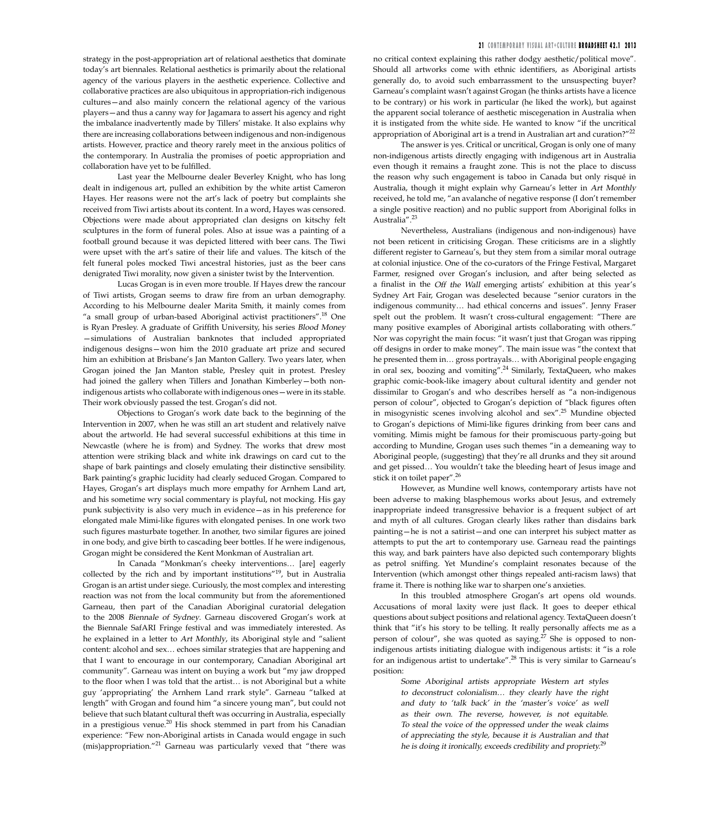strategy in the post-appropriation art of relational aesthetics that dominate today's art biennales. Relational aesthetics is primarily about the relational agency of the various players in the aesthetic experience. Collective and collaborative practices are also ubiquitous in appropriation-rich indigenous cultures—and also mainly concern the relational agency of the various players—and thus a canny way for Jagamara to assert his agency and right the imbalance inadvertently made by Tillers' mistake. It also explains why there are increasing collaborations between indigenous and non-indigenous artists. However, practice and theory rarely meet in the anxious politics of the contemporary. In Australia the promises of poetic appropriation and collaboration have yet to be fulfilled.

Last year the Melbourne dealer Beverley Knight, who has long dealt in indigenous art, pulled an exhibition by the white artist Cameron Hayes. Her reasons were not the art's lack of poetry but complaints she received from Tiwi artists about its content. In a word, Hayes was censored. Objections were made about appropriated clan designs on kitschy felt sculptures in the form of funeral poles. Also at issue was a painting of a football ground because it was depicted littered with beer cans. The Tiwi were upset with the art's satire of their life and values. The kitsch of the felt funeral poles mocked Tiwi ancestral histories, just as the beer cans denigrated Tiwi morality, now given a sinister twist by the Intervention.

Lucas Grogan is in even more trouble. If Hayes drew the rancour of Tiwi artists, Grogan seems to draw fire from an urban demography. According to his Melbourne dealer Marita Smith, it mainly comes from "a small group of urban-based Aboriginal activist practitioners".18 One is Ryan Presley. A graduate of Griffith University, his series Blood Money —simulations of Australian banknotes that included appropriated indigenous designs—won him the 2010 graduate art prize and secured him an exhibition at Brisbane's Jan Manton Gallery. Two years later, when Grogan joined the Jan Manton stable, Presley quit in protest. Presley had joined the gallery when Tillers and Jonathan Kimberley—both nonindigenous artists who collaborate with indigenous ones—were in its stable. Their work obviously passed the test. Grogan's did not.

Objections to Grogan's work date back to the beginning of the Intervention in 2007, when he was still an art student and relatively naïve about the artworld. He had several successful exhibitions at this time in Newcastle (where he is from) and Sydney. The works that drew most attention were striking black and white ink drawings on card cut to the shape of bark paintings and closely emulating their distinctive sensibility. Bark painting's graphic lucidity had clearly seduced Grogan. Compared to Hayes, Grogan's art displays much more empathy for Arnhem Land art, and his sometime wry social commentary is playful, not mocking. His gay punk subjectivity is also very much in evidence—as in his preference for elongated male Mimi-like figures with elongated penises. In one work two such figures masturbate together. In another, two similar figures are joined in one body, and give birth to cascading beer bottles. If he were indigenous, Grogan might be considered the Kent Monkman of Australian art.

In Canada "Monkman's cheeky interventions… [are] eagerly collected by the rich and by important institutions"19, but in Australia Grogan is an artist under siege. Curiously, the most complex and interesting reaction was not from the local community but from the aforementioned Garneau, then part of the Canadian Aboriginal curatorial delegation to the 2008 Biennale of Sydney. Garneau discovered Grogan's work at the Biennale SafARI Fringe festival and was immediately interested. As he explained in a letter to Art Monthly, its Aboriginal style and "salient content: alcohol and sex… echoes similar strategies that are happening and that I want to encourage in our contemporary, Canadian Aboriginal art community". Garneau was intent on buying a work but "my jaw dropped to the floor when I was told that the artist… is not Aboriginal but a white guy 'appropriating' the Arnhem Land rrark style". Garneau "talked at length" with Grogan and found him "a sincere young man", but could not believe that such blatant cultural theft was occurring in Australia, especially in a prestigious venue.<sup>20</sup> His shock stemmed in part from his Canadian experience: "Few non-Aboriginal artists in Canada would engage in such (mis)appropriation."21 Garneau was particularly vexed that "there was

#### **2 1 contemporary visual art+culture broadsheet 42.1 2013**

no critical context explaining this rather dodgy aesthetic/political move". Should all artworks come with ethnic identifiers, as Aboriginal artists generally do, to avoid such embarrassment to the unsuspecting buyer? Garneau's complaint wasn't against Grogan (he thinks artists have a licence to be contrary) or his work in particular (he liked the work), but against the apparent social tolerance of aesthetic miscegenation in Australia when it is instigated from the white side. He wanted to know "if the uncritical appropriation of Aboriginal art is a trend in Australian art and curation?"<sup>22</sup>

The answer is yes. Critical or uncritical, Grogan is only one of many non-indigenous artists directly engaging with indigenous art in Australia even though it remains a fraught zone. This is not the place to discuss the reason why such engagement is taboo in Canada but only risqué in Australia, though it might explain why Garneau's letter in Art Monthly received, he told me, "an avalanche of negative response (I don't remember a single positive reaction) and no public support from Aboriginal folks in Australia".<sup>23</sup>

Nevertheless, Australians (indigenous and non-indigenous) have not been reticent in criticising Grogan. These criticisms are in a slightly different register to Garneau's, but they stem from a similar moral outrage at colonial injustice. One of the co-curators of the Fringe Festival, Margaret Farmer, resigned over Grogan's inclusion, and after being selected as a finalist in the Off the Wall emerging artists' exhibition at this year's Sydney Art Fair, Grogan was deselected because "senior curators in the indigenous community… had ethical concerns and issues". Jenny Fraser spelt out the problem. It wasn't cross-cultural engagement: "There are many positive examples of Aboriginal artists collaborating with others." Nor was copyright the main focus: "it wasn't just that Grogan was ripping off designs in order to make money". The main issue was "the context that he presented them in… gross portrayals… with Aboriginal people engaging in oral sex, boozing and vomiting".24 Similarly, TextaQueen, who makes graphic comic-book-like imagery about cultural identity and gender not dissimilar to Grogan's and who describes herself as "a non-indigenous person of colour", objected to Grogan's depiction of "black figures often in misogynistic scenes involving alcohol and sex".25 Mundine objected to Grogan's depictions of Mimi-like figures drinking from beer cans and vomiting. Mimis might be famous for their promiscuous party-going but according to Mundine, Grogan uses such themes "in a demeaning way to Aboriginal people, (suggesting) that they're all drunks and they sit around and get pissed… You wouldn't take the bleeding heart of Jesus image and stick it on toilet paper".<sup>26</sup>

However, as Mundine well knows, contemporary artists have not been adverse to making blasphemous works about Jesus, and extremely inappropriate indeed transgressive behavior is a frequent subject of art and myth of all cultures. Grogan clearly likes rather than disdains bark painting—he is not a satirist—and one can interpret his subject matter as attempts to put the art to contemporary use. Garneau read the paintings this way, and bark painters have also depicted such contemporary blights as petrol sniffing. Yet Mundine's complaint resonates because of the Intervention (which amongst other things repealed anti-racism laws) that frame it. There is nothing like war to sharpen one's anxieties.

In this troubled atmosphere Grogan's art opens old wounds. Accusations of moral laxity were just flack. It goes to deeper ethical questions about subject positions and relational agency. TextaQueen doesn't think that "it's his story to be telling. It really personally affects me as a person of colour", she was quoted as saying.<sup>27</sup> She is opposed to nonindigenous artists initiating dialogue with indigenous artists: it "is a role for an indigenous artist to undertake".28 This is very similar to Garneau's position:

> Some Aboriginal artists appropriate Western art styles to deconstruct colonialism… they clearly have the right and duty to 'talk back' in the 'master's voice' as well as their own. The reverse, however, is not equitable. To steal the voice of the oppressed under the weak claims of appreciating the style, because it is Australian and that he is doing it ironically, exceeds credibility and propriety.<sup>29</sup>